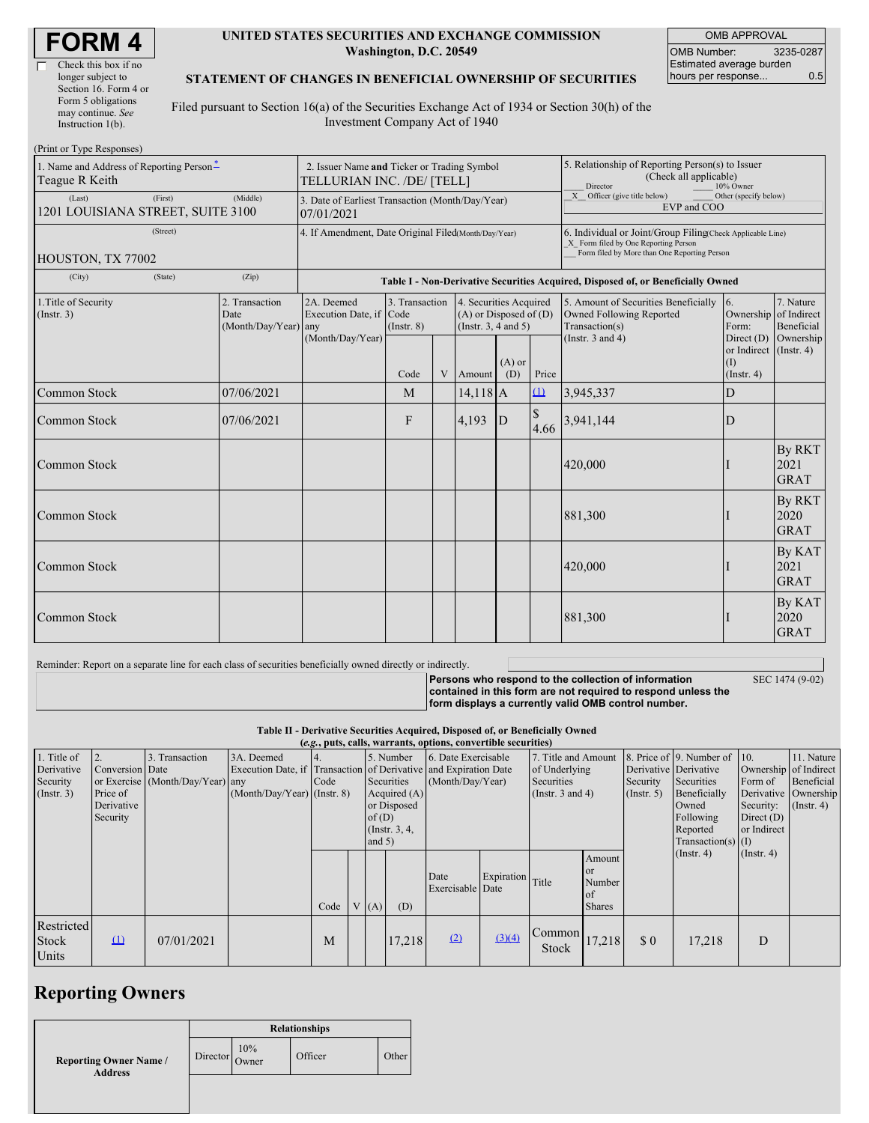#### **UNITED STATES SECURITIES AND EXCHANGE COMMISSION Washington, D.C. 20549**

OMB APPROVAL OMB Number: 3235-0287 Estimated average burden hours per response... 0.5

#### **STATEMENT OF CHANGES IN BENEFICIAL OWNERSHIP OF SECURITIES**

Filed pursuant to Section 16(a) of the Securities Exchange Act of 1934 or Section 30(h) of the Investment Company Act of 1940

| (Print or Type Responses)                                                             |                                                                |                                                                                  |                               |   |                                                                              |                 |                                                                                                                                                    |                                                                                                             |                                                     |                                      |  |
|---------------------------------------------------------------------------------------|----------------------------------------------------------------|----------------------------------------------------------------------------------|-------------------------------|---|------------------------------------------------------------------------------|-----------------|----------------------------------------------------------------------------------------------------------------------------------------------------|-------------------------------------------------------------------------------------------------------------|-----------------------------------------------------|--------------------------------------|--|
| 1. Name and Address of Reporting Person-<br>Teague R Keith                            |                                                                | 2. Issuer Name and Ticker or Trading Symbol<br>TELLURIAN INC. /DE/ [TELL]        |                               |   |                                                                              |                 | 5. Relationship of Reporting Person(s) to Issuer<br>(Check all applicable)<br>Director<br>10% Owner                                                |                                                                                                             |                                                     |                                      |  |
| (Last)<br>(First)<br>1201 LOUISIANA STREET, SUITE 3100                                | 3. Date of Earliest Transaction (Month/Day/Year)<br>07/01/2021 |                                                                                  |                               |   |                                                                              |                 | X Officer (give title below)<br>Other (specify below)<br>EVP and COO                                                                               |                                                                                                             |                                                     |                                      |  |
| (Street)<br>HOUSTON, TX 77002                                                         |                                                                | 4. If Amendment, Date Original Filed(Month/Day/Year)                             |                               |   |                                                                              |                 | 6. Individual or Joint/Group Filing(Check Applicable Line)<br>X Form filed by One Reporting Person<br>Form filed by More than One Reporting Person |                                                                                                             |                                                     |                                      |  |
| (City)<br>(State)                                                                     | (Zip)                                                          | Table I - Non-Derivative Securities Acquired, Disposed of, or Beneficially Owned |                               |   |                                                                              |                 |                                                                                                                                                    |                                                                                                             |                                                     |                                      |  |
| 1. Title of Security<br>2. Transaction<br>(Insert. 3)<br>Date<br>(Month/Day/Year) any |                                                                | 2A. Deemed<br>Execution Date, if Code<br>(Month/Day/Year)                        | 3. Transaction<br>(Insert. 8) |   | 4. Securities Acquired<br>$(A)$ or Disposed of $(D)$<br>(Insert. 3, 4 and 5) |                 |                                                                                                                                                    | 5. Amount of Securities Beneficially<br>Owned Following Reported<br>Transaction(s)<br>(Instr. $3$ and $4$ ) | 16.<br>Ownership of Indirect<br>Form:<br>Direct (D) | 7. Nature<br>Beneficial<br>Ownership |  |
|                                                                                       |                                                                |                                                                                  | Code                          | V | Amount                                                                       | $(A)$ or<br>(D) | Price                                                                                                                                              |                                                                                                             | or Indirect (Instr. 4)<br>(I)<br>$($ Instr. 4 $)$   |                                      |  |
| Common Stock                                                                          | 07/06/2021                                                     |                                                                                  | M                             |   | $14,118$ A                                                                   |                 | $\Omega$                                                                                                                                           | 3,945,337                                                                                                   | $\mathbf D$                                         |                                      |  |
| <b>Common Stock</b>                                                                   | 07/06/2021                                                     |                                                                                  | F                             |   | 4,193                                                                        | D               | $\mathcal{S}$<br>4.66                                                                                                                              | 3,941,144                                                                                                   | D                                                   |                                      |  |
| Common Stock                                                                          |                                                                |                                                                                  |                               |   |                                                                              |                 |                                                                                                                                                    | 420,000                                                                                                     |                                                     | <b>By RKT</b><br>2021<br><b>GRAT</b> |  |
| <b>Common Stock</b>                                                                   |                                                                |                                                                                  |                               |   |                                                                              |                 |                                                                                                                                                    | 881,300                                                                                                     |                                                     | <b>By RKT</b><br>2020<br><b>GRAT</b> |  |
| Common Stock                                                                          |                                                                |                                                                                  |                               |   |                                                                              |                 |                                                                                                                                                    | 420,000                                                                                                     |                                                     | By KAT<br>2021<br><b>GRAT</b>        |  |
| Common Stock                                                                          |                                                                |                                                                                  |                               |   |                                                                              |                 |                                                                                                                                                    | 881,300                                                                                                     |                                                     | By KAT<br>2020<br><b>GRAT</b>        |  |

Reminder: Report on a separate line for each class of securities beneficially owned directly or indirectly.

SEC 1474 (9-02)

**Persons who respond to the collection of information contained in this form are not required to respond unless the form displays a currently valid OMB control number.**

**Table II - Derivative Securities Acquired, Disposed of, or Beneficially Owned**

**(***e.g.***, puts, calls, warrants, options, convertible securities)**

| (e.g., puts, cans, warrants, options, convertible securities) |                 |                                  |                                                                                |                 |          |                 |           |                     |                  |                                      |               |                       |                              |                      |                                     |
|---------------------------------------------------------------|-----------------|----------------------------------|--------------------------------------------------------------------------------|-----------------|----------|-----------------|-----------|---------------------|------------------|--------------------------------------|---------------|-----------------------|------------------------------|----------------------|-------------------------------------|
| 1. Title of<br>Derivative                                     | Conversion Date | 3. Transaction                   | 3A. Deemed<br>Execution Date, if Transaction of Derivative and Expiration Date |                 |          |                 | 5. Number | 6. Date Exercisable |                  | 7. Title and Amount<br>of Underlying |               | Derivative Derivative | 8. Price of 9. Number of 10. |                      | 11. Nature<br>Ownership of Indirect |
| Security                                                      |                 | or Exercise (Month/Day/Year) any |                                                                                | Code            |          | Securities      |           | (Month/Day/Year)    |                  | Securities                           |               | Security              | Securities                   | Form of              | Beneficial                          |
| $($ Instr. 3 $)$                                              | Price of        |                                  | $(Month/Day/Year)$ (Instr. 8)                                                  |                 |          | Acquired $(A)$  |           |                     |                  | (Instr. $3$ and $4$ )                |               | $($ Instr. 5)         | Beneficially                 | Derivative Ownership |                                     |
|                                                               | Derivative      |                                  |                                                                                | or Disposed     |          |                 |           |                     |                  |                                      | Owned         |                       |                              |                      |                                     |
|                                                               |                 |                                  |                                                                                |                 |          |                 |           |                     |                  |                                      | Security:     | $($ Instr. 4)         |                              |                      |                                     |
|                                                               | Security        |                                  |                                                                                | of $(D)$        |          |                 |           |                     |                  |                                      | Following     | Direct $(D)$          |                              |                      |                                     |
|                                                               |                 |                                  |                                                                                | (Instr. $3, 4,$ |          |                 |           |                     |                  |                                      | Reported      | or Indirect           |                              |                      |                                     |
|                                                               |                 |                                  |                                                                                |                 | and $5)$ |                 |           |                     |                  |                                      |               | $Transaction(s)$ (I)  |                              |                      |                                     |
|                                                               |                 |                                  |                                                                                |                 |          |                 |           |                     |                  |                                      | Amount        |                       | $($ Instr. 4)                | $($ Instr. 4 $)$     |                                     |
|                                                               |                 |                                  |                                                                                |                 |          |                 |           |                     |                  |                                      | or            |                       |                              |                      |                                     |
|                                                               |                 |                                  |                                                                                |                 |          |                 |           | Date                | Expiration Title |                                      | Number        |                       |                              |                      |                                     |
|                                                               |                 |                                  |                                                                                |                 |          |                 |           | Exercisable Date    |                  |                                      | ΩŤ            |                       |                              |                      |                                     |
|                                                               |                 |                                  |                                                                                | Code            |          | $\mathsf{I}(A)$ | (D)       |                     |                  |                                      | <b>Shares</b> |                       |                              |                      |                                     |
|                                                               |                 |                                  |                                                                                |                 |          |                 |           |                     |                  |                                      |               |                       |                              |                      |                                     |
| <b>Restricted</b>                                             |                 |                                  |                                                                                |                 |          |                 |           |                     |                  |                                      |               |                       |                              |                      |                                     |
| <b>Stock</b>                                                  | $\Omega$        | 07/01/2021                       |                                                                                | M               |          |                 | 17,218    | (2)                 | (3)(4)           | Common                               | 17,218        | \$0                   | 17,218                       | D                    |                                     |
|                                                               |                 |                                  |                                                                                |                 |          |                 |           |                     |                  | Stock                                |               |                       |                              |                      |                                     |
| Units                                                         |                 |                                  |                                                                                |                 |          |                 |           |                     |                  |                                      |               |                       |                              |                      |                                     |

# **Reporting Owners**

|                                                 | <b>Relationships</b> |                 |         |       |  |  |  |  |
|-------------------------------------------------|----------------------|-----------------|---------|-------|--|--|--|--|
| <b>Reporting Owner Name /</b><br><b>Address</b> | Director             | 10%<br>$O$ wner | Officer | Other |  |  |  |  |
|                                                 |                      |                 |         |       |  |  |  |  |